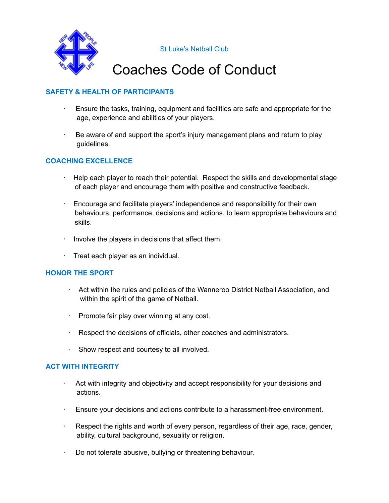

St Luke's Netball Club

### Coaches Code of Conduct

### **SAFETY & HEALTH OF PARTICIPANTS**

- · Ensure the tasks, training, equipment and facilities are safe and appropriate for the age, experience and abilities of your players.
- · Be aware of and support the sport's injury management plans and return to play guidelines.

#### **COACHING EXCELLENCE**

- · Help each player to reach their potential. Respect the skills and developmental stage of each player and encourage them with positive and constructive feedback.
- · Encourage and facilitate players' independence and responsibility for their own behaviours, performance, decisions and actions. to learn appropriate behaviours and skills.
- · Involve the players in decisions that affect them.
- · Treat each player as an individual.

#### **HONOR THE SPORT**

- · Act within the rules and policies of the Wanneroo District Netball Association, and within the spirit of the game of Netball.
- · Promote fair play over winning at any cost.
- · Respect the decisions of officials, other coaches and administrators.
- · Show respect and courtesy to all involved.

#### **ACT WITH INTEGRITY**

- · Act with integrity and objectivity and accept responsibility for your decisions and actions.
- · Ensure your decisions and actions contribute to a harassment-free environment.
- · Respect the rights and worth of every person, regardless of their age, race, gender, ability, cultural background, sexuality or religion.
- · Do not tolerate abusive, bullying or threatening behaviour.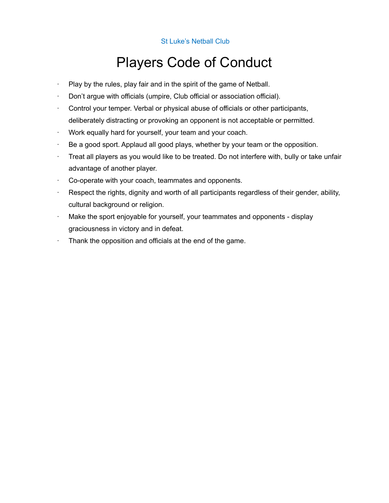St Luke's Netball Club

## Players Code of Conduct

- Play by the rules, play fair and in the spirit of the game of Netball.
- ∙ Don't argue with officials (umpire, Club official or association official).
- ∙ Control your temper. Verbal or physical abuse of officials or other participants, deliberately distracting or provoking an opponent is not acceptable or permitted.
- ∙ Work equally hard for yourself, your team and your coach.
- ∙ Be a good sport. Applaud all good plays, whether by your team or the opposition.
- ∙ Treat all players as you would like to be treated. Do not interfere with, bully or take unfair advantage of another player.
- ∙ Co-operate with your coach, teammates and opponents.
- ∙ Respect the rights, dignity and worth of all participants regardless of their gender, ability, cultural background or religion.
- ∙ Make the sport enjoyable for yourself, your teammates and opponents display graciousness in victory and in defeat.
- ∙ Thank the opposition and officials at the end of the game.